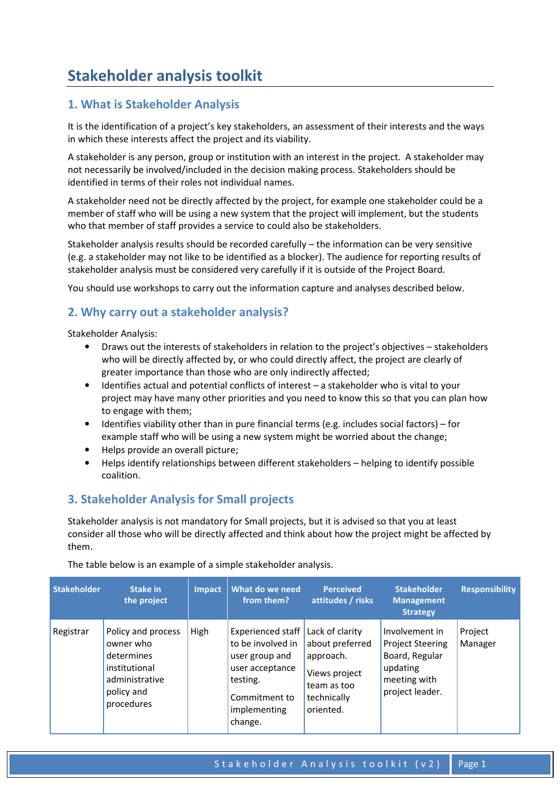# Stakeholder analysis toolkit

# 1. What is Stakeholder Analysis

It is the identification of a project's key stakeholders, an assessment of their interests and the ways in which these interests affect the project and its viability.

A stakeholder is any person, group or institution with an interest in the project. A stakeholder may not necessarily be involved/included in the decision making process. Stakeholders should be identified in terms of their roles not individual names.

A stakeholder need not be directly affected by the project, for example one stakeholder could be a member of staff who will be using a new system that the project will implement, but the students who that member of staff provides a service to could also be stakeholders.

Stakeholder analysis results should be recorded carefully – the information can be very sensitive (e.g. a stakeholder may not like to be identified as a blocker). The audience for reporting results of stakeholder analysis must be considered very carefully if it is outside of the Project Board.

You should use workshops to carry out the information capture and analyses described below.

### 2. Why carry out a stakeholder analysis?

Stakeholder Analysis:

- Draws out the interests of stakeholders in relation to the project's objectives stakeholders who will be directly affected by, or who could directly affect, the project are clearly of greater importance than those who are only indirectly affected;
- Identifies actual and potential conflicts of interest a stakeholder who is vital to your project may have many other priorities and you need to know this so that you can plan how to engage with them;
- Identifies viability other than in pure financial terms (e.g. includes social factors) for example staff who will be using a new system might be worried about the change;
- Helps provide an overall picture;
- Helps identify relationships between different stakeholders helping to identify possible coalition.

### 3. Stakeholder Analysis for Small projects

Stakeholder analysis is not mandatory for Small projects, but it is advised so that you at least consider all those who will be directly affected and think about how the project might be affected by them.

| <b>Stakeholder</b> | Stake in<br>the project                                                                                      | <b>Impact</b> | What do we need<br>from them?                                                                                                       | <b>Perceived</b><br>attitudes / risks                                                                       | <b>Stakeholder</b><br><b>Management</b><br><b>Strategy</b>                                                 | <b>Responsibility</b> |
|--------------------|--------------------------------------------------------------------------------------------------------------|---------------|-------------------------------------------------------------------------------------------------------------------------------------|-------------------------------------------------------------------------------------------------------------|------------------------------------------------------------------------------------------------------------|-----------------------|
| Registrar          | Policy and process<br>owner who<br>determines<br>institutional<br>administrative<br>policy and<br>procedures | High          | Experienced staff<br>to be involved in<br>user group and<br>user acceptance<br>testing.<br>Commitment to<br>implementing<br>change. | Lack of clarity<br>about preferred<br>approach.<br>Views project<br>team as too<br>technically<br>oriented. | Involvement in<br><b>Project Steering</b><br>Board, Regular<br>updating<br>meeting with<br>project leader. | Project<br>Manager    |

The table below is an example of a simple stakeholder analysis.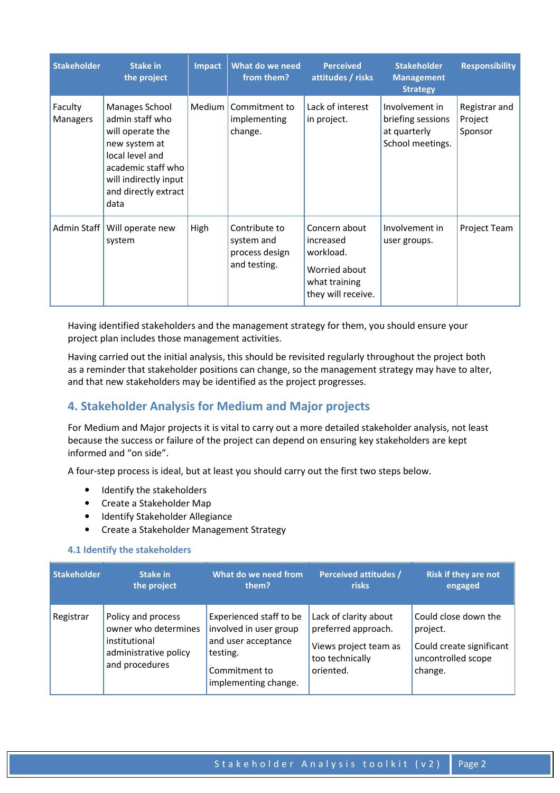| <b>Stakeholder</b>         | <b>Stake in</b><br>the project                                                                                                                                           | <b>Impact</b> | What do we need<br>from them?                                 | <b>Perceived</b><br>attitudes / risks                                                           | <b>Stakeholder</b><br><b>Management</b><br><b>Strategy</b>              | <b>Responsibility</b>               |
|----------------------------|--------------------------------------------------------------------------------------------------------------------------------------------------------------------------|---------------|---------------------------------------------------------------|-------------------------------------------------------------------------------------------------|-------------------------------------------------------------------------|-------------------------------------|
| Faculty<br><b>Managers</b> | Manages School<br>admin staff who<br>will operate the<br>new system at<br>local level and<br>academic staff who<br>will indirectly input<br>and directly extract<br>data | Medium        | Commitment to<br>implementing<br>change.                      | Lack of interest<br>in project.                                                                 | Involvement in<br>briefing sessions<br>at quarterly<br>School meetings. | Registrar and<br>Project<br>Sponsor |
| Admin Staff                | Will operate new<br>system                                                                                                                                               | High          | Contribute to<br>system and<br>process design<br>and testing. | Concern about<br>increased<br>workload.<br>Worried about<br>what training<br>they will receive. | Involvement in<br>user groups.                                          | Project Team                        |

Having identified stakeholders and the management strategy for them, you should ensure your project plan includes those management activities.

Having carried out the initial analysis, this should be revisited regularly throughout the project both as a reminder that stakeholder positions can change, so the management strategy may have to alter, and that new stakeholders may be identified as the project progresses.

## 4. Stakeholder Analysis for Medium and Major projects

For Medium and Major projects it is vital to carry out a more detailed stakeholder analysis, not least because the success or failure of the project can depend on ensuring key stakeholders are kept informed and "on side".

A four-step process is ideal, but at least you should carry out the first two steps below.

- Identify the stakeholders
- Create a Stakeholder Map
- Identify Stakeholder Allegiance
- Create a Stakeholder Management Strategy

### 4.1 Identify the stakeholders

| <b>Stakeholder</b> | Stake in                                                                                               | What do we need from                                                                                                          | <b>Perceived attitudes /</b>                                                                          | <b>Risk if they are not</b>                                                                   |
|--------------------|--------------------------------------------------------------------------------------------------------|-------------------------------------------------------------------------------------------------------------------------------|-------------------------------------------------------------------------------------------------------|-----------------------------------------------------------------------------------------------|
|                    | the project                                                                                            | them?                                                                                                                         | risks                                                                                                 | engaged                                                                                       |
| Registrar          | Policy and process<br>owner who determines<br>institutional<br>administrative policy<br>and procedures | Experienced staff to be<br>involved in user group<br>and user acceptance<br>testing.<br>Commitment to<br>implementing change. | Lack of clarity about<br>preferred approach.<br>Views project team as<br>too technically<br>oriented. | Could close down the<br>project.<br>Could create significant<br>uncontrolled scope<br>change. |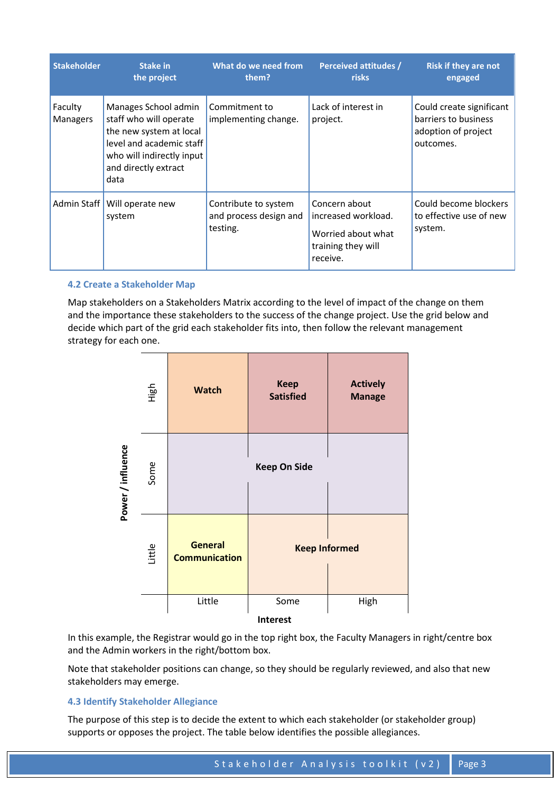| <b>Stakeholder</b><br>Stake in<br>the project |                                                                                                                                                                    | What do we need from<br>them?                              | <b>Perceived attitudes /</b><br><b>risks</b>                                                 | <b>Risk if they are not</b><br>engaged                                               |  |
|-----------------------------------------------|--------------------------------------------------------------------------------------------------------------------------------------------------------------------|------------------------------------------------------------|----------------------------------------------------------------------------------------------|--------------------------------------------------------------------------------------|--|
| Faculty<br>Managers                           | Manages School admin<br>staff who will operate<br>the new system at local<br>level and academic staff<br>who will indirectly input<br>and directly extract<br>data | Commitment to<br>implementing change.                      | Lack of interest in<br>project.                                                              | Could create significant<br>barriers to business<br>adoption of project<br>outcomes. |  |
| Admin Staff                                   | Will operate new<br>system                                                                                                                                         | Contribute to system<br>and process design and<br>testing. | Concern about<br>increased workload.<br>Worried about what<br>training they will<br>receive. | Could become blockers<br>to effective use of new<br>system.                          |  |

### 4.2 Create a Stakeholder Map

Map stakeholders on a Stakeholders Matrix according to the level of impact of the change on them and the importance these stakeholders to the success of the change project. Use the grid below and decide which part of the grid each stakeholder fits into, then follow the relevant management strategy for each one.



In this example, the Registrar would go in the top right box, the Faculty Managers in right/centre box and the Admin workers in the right/bottom box.

Note that stakeholder positions can change, so they should be regularly reviewed, and also that new stakeholders may emerge.

### 4.3 Identify Stakeholder Allegiance

The purpose of this step is to decide the extent to which each stakeholder (or stakeholder group) supports or opposes the project. The table below identifies the possible allegiances.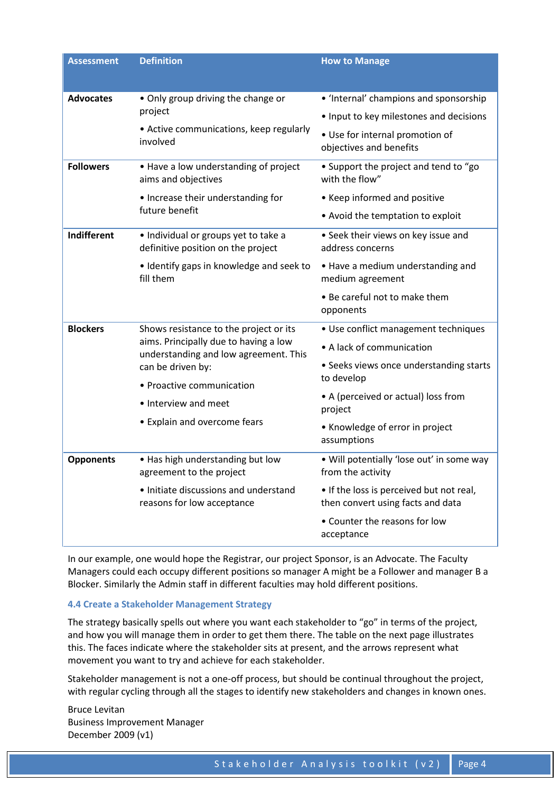| <b>Assessment</b> | <b>Definition</b>                                                                                                                                                                                                                  | <b>How to Manage</b>                                                                                                                                                                                                           |
|-------------------|------------------------------------------------------------------------------------------------------------------------------------------------------------------------------------------------------------------------------------|--------------------------------------------------------------------------------------------------------------------------------------------------------------------------------------------------------------------------------|
| <b>Advocates</b>  | • Only group driving the change or<br>project<br>• Active communications, keep regularly<br>involved                                                                                                                               | • 'Internal' champions and sponsorship<br>• Input to key milestones and decisions<br>• Use for internal promotion of<br>objectives and benefits                                                                                |
| <b>Followers</b>  | • Have a low understanding of project<br>aims and objectives<br>• Increase their understanding for<br>future benefit                                                                                                               | • Support the project and tend to "go<br>with the flow"<br>• Keep informed and positive<br>• Avoid the temptation to exploit                                                                                                   |
| Indifferent       | · Individual or groups yet to take a<br>definitive position on the project<br>• Identify gaps in knowledge and seek to<br>fill them                                                                                                | • Seek their views on key issue and<br>address concerns<br>• Have a medium understanding and<br>medium agreement<br>• Be careful not to make them<br>opponents                                                                 |
| <b>Blockers</b>   | Shows resistance to the project or its<br>aims. Principally due to having a low<br>understanding and low agreement. This<br>can be driven by:<br>• Proactive communication<br>• Interview and meet<br>• Explain and overcome fears | • Use conflict management techniques<br>• A lack of communication<br>• Seeks views once understanding starts<br>to develop<br>• A (perceived or actual) loss from<br>project<br>• Knowledge of error in project<br>assumptions |
| <b>Opponents</b>  | • Has high understanding but low<br>agreement to the project<br>· Initiate discussions and understand<br>reasons for low acceptance                                                                                                | . Will potentially 'lose out' in some way<br>from the activity<br>• If the loss is perceived but not real,<br>then convert using facts and data<br>• Counter the reasons for low<br>acceptance                                 |

In our example, one would hope the Registrar, our project Sponsor, is an Advocate. The Faculty Managers could each occupy different positions so manager A might be a Follower and manager B a Blocker. Similarly the Admin staff in different faculties may hold different positions.

#### 4.4 Create a Stakeholder Management Strategy

The strategy basically spells out where you want each stakeholder to "go" in terms of the project, and how you will manage them in order to get them there. The table on the next page illustrates this. The faces indicate where the stakeholder sits at present, and the arrows represent what movement you want to try and achieve for each stakeholder.

Stakeholder management is not a one-off process, but should be continual throughout the project, with regular cycling through all the stages to identify new stakeholders and changes in known ones.

Bruce Levitan Business Improvement Manager December 2009 (v1)